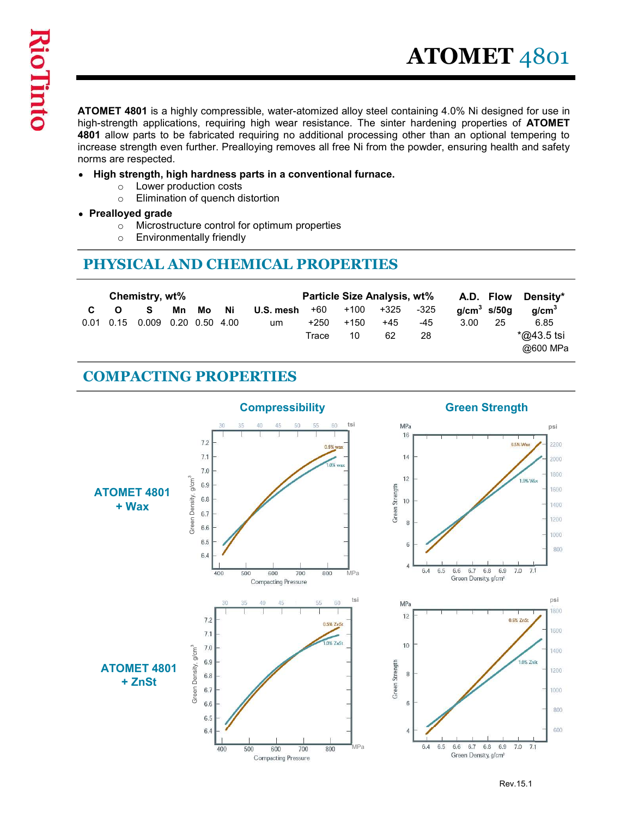**ATOMET 4801**<br>ATOMET 4801 is a highly compressible, water-atomized alloy steel containing 4.0% Ni designed for use in<br>high-strength applications, requiring high wear resistance. The sinter hardening properties of **ATOMET**<br> high-strength applications, requiring high wear resistance. The sinter hardening properties of **ATOMET** 4801 allow parts to be fabricated requiring no additional processing other than an optional tempering to increase strength even further. Prealloying removes all free Ni from the powder, ensuring health and safety norms are respected.

- High strength, high hardness parts in a conventional furnace.
	- o Lower production costs
	- o Elimination of quench distortion
- Prealloyed grade
	- o Microstructure control for optimum properties
	- o Environmentally friendly

# PHYSICAL AND CHEMICAL PROPERTIES

|           |                               |                              |    |                      |                          |                                                                                                                                                                                                                                                                                                                                                                                                                                                                                                                       |                          |                                                       |                       |                       |                       |                                  | <b>ATOMET 4801</b>                                              |
|-----------|-------------------------------|------------------------------|----|----------------------|--------------------------|-----------------------------------------------------------------------------------------------------------------------------------------------------------------------------------------------------------------------------------------------------------------------------------------------------------------------------------------------------------------------------------------------------------------------------------------------------------------------------------------------------------------------|--------------------------|-------------------------------------------------------|-----------------------|-----------------------|-----------------------|----------------------------------|-----------------------------------------------------------------|
|           | $\circ$                       | norms are respected.         |    |                      | Lower production costs   | <b>ATOMET 4801</b> is a highly compressible, water-atomized alloy steel containing 4.0% Ni designed for use in<br>high-strength applications, requiring high wear resistance. The sinter hardening properties of ATOMET<br>4801 allow parts to be fabricated requiring no additional processing other than an optional tempering to<br>increase strength even further. Prealloying removes all free Ni from the powder, ensuring health and safety<br>• High strength, high hardness parts in a conventional furnace. |                          |                                                       |                       |                       |                       |                                  |                                                                 |
|           | $\circ$<br>$\circ$<br>$\circ$ | • Prealloyed grade           |    |                      | Environmentally friendly | Elimination of quench distortion<br>Microstructure control for optimum properties<br>PHYSICAL AND CHEMICAL PROPERTIES                                                                                                                                                                                                                                                                                                                                                                                                 |                          |                                                       |                       |                       |                       |                                  |                                                                 |
| C<br>0.01 | $\Omega$<br>0.15              | Chemistry, wt%<br>S<br>0.009 | Mn | Mo<br>0.20 0.50 4.00 | Ni                       | U.S. mesh<br>um                                                                                                                                                                                                                                                                                                                                                                                                                                                                                                       | $+60$<br>$+250$<br>Trace | Particle Size Analysis, wt%<br>$+100$<br>$+150$<br>10 | $+325$<br>$+45$<br>62 | $-325$<br>$-45$<br>28 | 3.00                  | A.D. Flow<br>$q/cm3$ s/50g<br>25 | Density*<br>g/cm <sup>3</sup><br>6.85<br>*@43.5 tsi<br>@600 MPa |
|           |                               |                              |    |                      |                          | <b>COMPACTING PROPERTIES</b>                                                                                                                                                                                                                                                                                                                                                                                                                                                                                          |                          |                                                       |                       |                       |                       |                                  |                                                                 |
|           |                               |                              |    | 7.2                  |                          | <b>Compressibility</b>                                                                                                                                                                                                                                                                                                                                                                                                                                                                                                |                          |                                                       | <b>MPa</b>            | 16                    | <b>Green Strength</b> |                                  | psi<br>0.5% Wax                                                 |

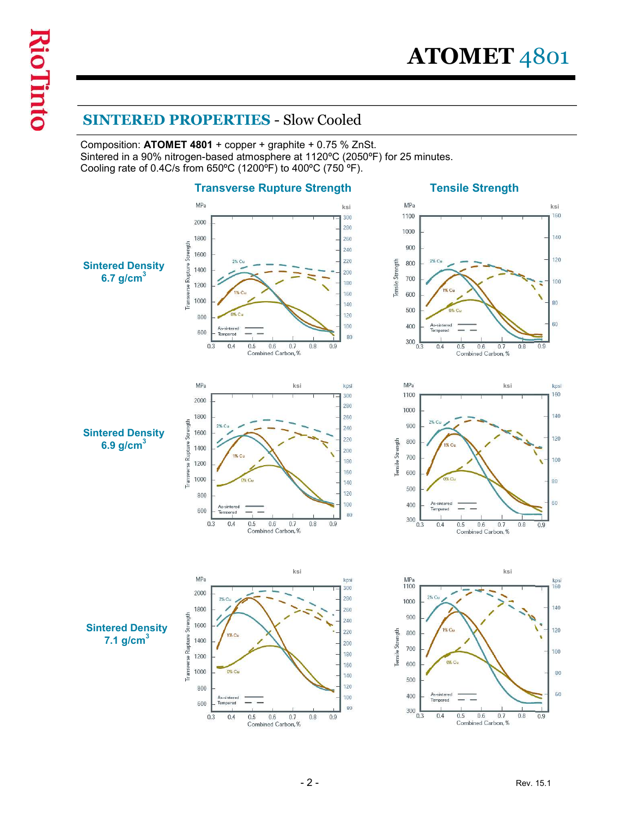**ATOMET** 4801<br>
SINTERED PROPERTIES - Slow Cooled<br>
Composition: ATOMET 4801 + copper + graphite + 0.75 % ZnSt.<br>
Sintered in a 90% nitrogen-based atmosphere at 1120°C (2050°F) for 25 minutes.<br>
Cooling rate of 0.4C/s from 65 Composition: ATOMET 4801 + copper + graphite + 0.75 % ZnSt. Sintered in a 90% nitrogen-based atmosphere at 1120ºC (2050ºF) for 25 minutes. Cooling rate of 0.4C/s from 650ºC (1200ºF) to 400ºC (750 ºF).

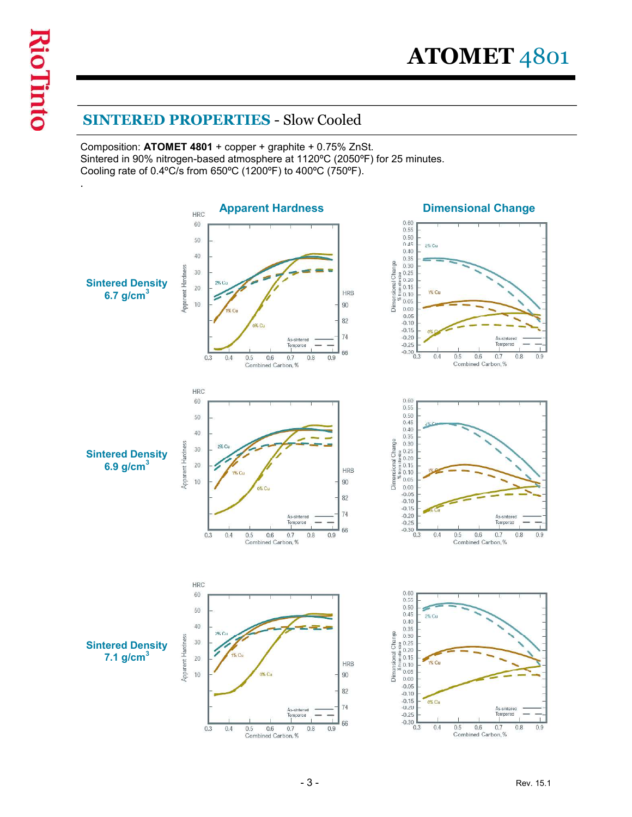$\begin{array}{c} \displaystyle {\bf ATOMET} \; 4801 \\\hline \hline \text{SINTERED PROPERTIES - Slow Cooled} \\\text{Composition: ATOMET 4801 + copper + graphite + 0.75\% ZnSt.} \\\text{Since in 90\% nitrogen-based atmosphere at 1120°C (2050°F) for 25 minutes.} \\\text{Looking rate of 0.4°C/s from 650°C (1200°F) to 400°C (750°F).} \end{array}$ Composition: ATOMET 4801 + copper + graphite + 0.75% ZnSt. Sintered in 90% nitrogen-based atmosphere at 1120ºC (2050ºF) for 25 minutes. Cooling rate of 0.4ºC/s from 650ºC (1200ºF) to 400ºC (750ºF).

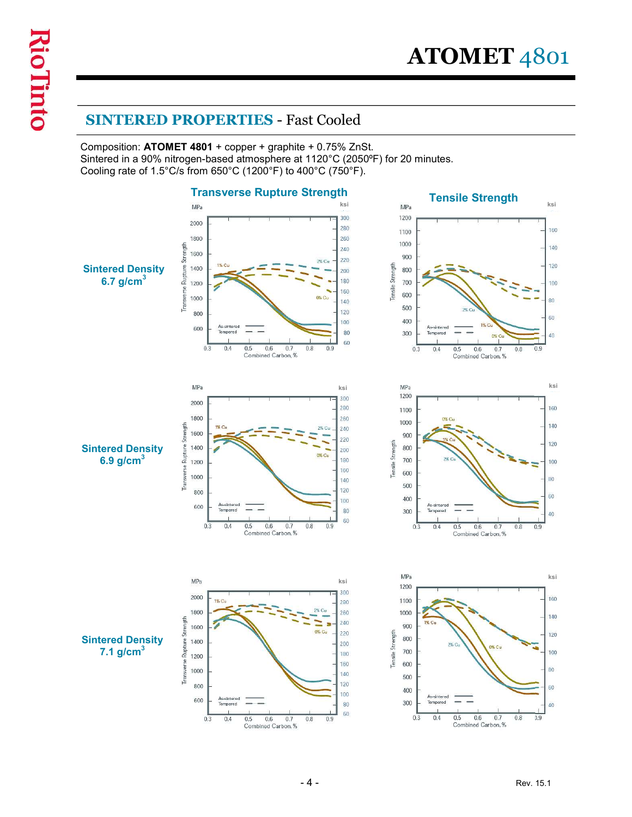$\bf ATOMET$  4801<br>
SINTERED PROPERTIES - Fast Cooled<br>
Composition: ATOMET 4801 + copper + graphite + 0.75% ZnSt.<br>
Sintered in a 90% nitrogen-based atmosphere at 1120°C (2050°F) for 20 minutes.<br>
Cooling rate of 1.5°C/s from 650 Composition: ATOMET 4801 + copper + graphite + 0.75% ZnSt. Sintered in a 90% nitrogen-based atmosphere at 1120°C (2050ºF) for 20 minutes. Cooling rate of 1.5°C/s from 650°C (1200°F) to 400°C (750°F).

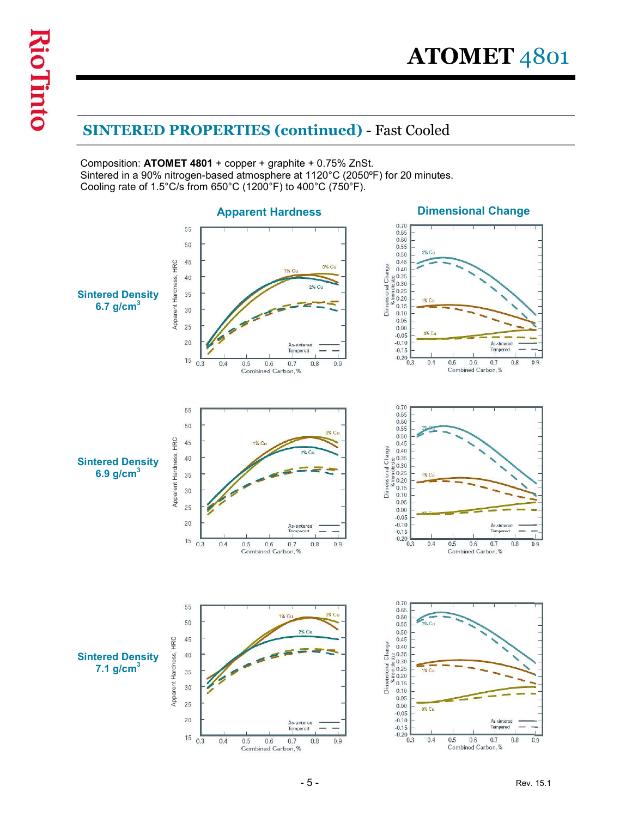$\bf{ATOMET}$  4801<br>
SINTERED PROPERTIES (continued) - Fast Cooled<br>
Composition: ATOMET 4801 + copper + graphite + 0.75% ZnSt.<br>
Sintered in a 90% nitrogen-based atmosphere at 1120°C (2050°F) for 20 minutes.<br>
Cooling rate of 1. Composition: ATOMET 4801 + copper + graphite + 0.75% ZnSt. Sintered in a 90% nitrogen-based atmosphere at 1120°C (2050ºF) for 20 minutes. Cooling rate of 1.5°C/s from 650°C (1200°F) to 400°C (750°F).

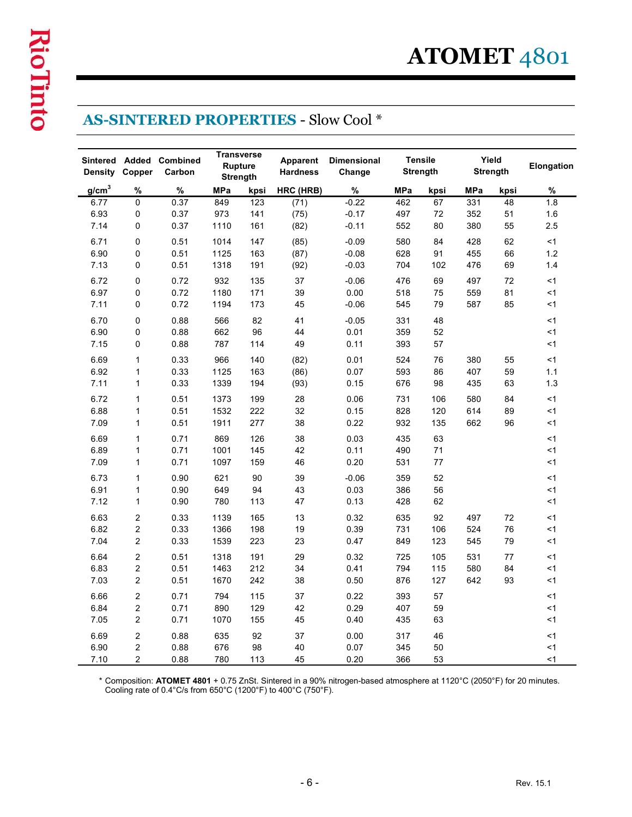| <b>AS-SINTERED PROPERTIES - Slow Cool *</b><br><b>Transverse</b> |                                  |                    |              |                            |                             |                              |            |                                   |            |                   |                    |  |
|------------------------------------------------------------------|----------------------------------|--------------------|--------------|----------------------------|-----------------------------|------------------------------|------------|-----------------------------------|------------|-------------------|--------------------|--|
| Sintered<br><b>Density</b>                                       | <b>Added</b><br>Copper           | Combined<br>Carbon |              | <b>Rupture</b><br>Strength | Apparent<br><b>Hardness</b> | <b>Dimensional</b><br>Change |            | <b>Tensile</b><br><b>Strength</b> |            | Yield<br>Strength | Elongation         |  |
| $g/cm^3$                                                         | %                                | %                  | <b>MPa</b>   | kpsi                       | HRC (HRB)                   | %                            | MPa        | kpsi                              | MPa        | kpsi              | $\%$               |  |
| 6.77<br>6.93                                                     | $\mathbf 0$<br>$\mathbf 0$       | 0.37<br>0.37       | 849<br>973   | 123<br>141                 | (71)<br>(75)                | $-0.22$<br>$-0.17$           | 462<br>497 | 67<br>72                          | 331<br>352 | 48<br>51          | 1.8<br>1.6         |  |
| 7.14                                                             | $\mathbf 0$                      | 0.37               | 1110         | 161                        | (82)                        | $-0.11$                      | 552        | 80                                | 380        | 55                | 2.5                |  |
| 6.71                                                             | 0                                | 0.51               | 1014         | 147                        | (85)                        | $-0.09$                      | 580        | 84                                | 428        | 62                | <1                 |  |
| 6.90                                                             | $\mathbf 0$                      | 0.51               | 1125         | 163                        | (87)                        | $-0.08$                      | 628        | 91                                | 455        | 66                | $1.2$              |  |
| 7.13                                                             | $\mathbf{0}$                     | 0.51               | 1318         | 191                        | (92)                        | $-0.03$                      | 704        | 102                               | 476        | 69                | 1.4                |  |
| 6.72                                                             | $\mathbf 0$                      | 0.72               | 932          | 135                        | 37                          | $-0.06$                      | 476        | 69                                | 497        | 72                | $<$ 1              |  |
| 6.97<br>7.11                                                     | $\mathbf 0$<br>$\mathbf 0$       | 0.72<br>0.72       | 1180<br>1194 | 171<br>173                 | 39<br>45                    | 0.00<br>$-0.06$              | 518<br>545 | 75<br>79                          | 559<br>587 | 81<br>85          | $<$ 1<br>$<$ 1     |  |
| 6.70                                                             | 0                                | 0.88               | 566          | 82                         | 41                          | $-0.05$                      | 331        | 48                                |            |                   | $<$ 1              |  |
| 6.90                                                             | $\mathbf 0$                      | 0.88               | 662          | 96                         | 44                          | 0.01                         | 359        | 52                                |            |                   | < 1                |  |
| 7.15                                                             | 0                                | 0.88               | 787          | 114                        | 49                          | 0.11                         | 393        | 57                                |            |                   | < 1                |  |
| 6.69                                                             | $\mathbf{1}$                     | 0.33               | 966          | 140                        | (82)                        | 0.01                         | 524        | 76                                | 380        | 55                | $<$ 1              |  |
| 6.92                                                             | $\mathbf{1}$                     | 0.33               | 1125         | 163                        | (86)                        | 0.07                         | 593        | 86                                | 407        | 59                | $1.1$              |  |
| 7.11                                                             | $\mathbf{1}$                     | 0.33               | 1339         | 194                        | (93)                        | 0.15                         | 676        | 98                                | 435        | 63                | $1.3$              |  |
| 6.72                                                             | $\mathbf{1}$                     | 0.51               | 1373         | 199                        | 28                          | 0.06                         | 731        | 106                               | 580        | 84                | $<$ 1              |  |
| 6.88<br>7.09                                                     | $\mathbf{1}$<br>$\mathbf{1}$     | 0.51<br>0.51       | 1532<br>1911 | 222<br>277                 | 32<br>38                    | 0.15<br>0.22                 | 828<br>932 | 120<br>135                        | 614<br>662 | 89<br>96          | $\leq$ 1<br>$<1\,$ |  |
| 6.69                                                             | $\mathbf{1}$                     | 0.71               | 869          | 126                        | 38                          | 0.03                         | 435        | 63                                |            |                   | $<$ 1              |  |
| 6.89                                                             | $\mathbf{1}$                     | 0.71               | 1001         | 145                        | 42                          | 0.11                         | 490        | 71                                |            |                   | < 1                |  |
| 7.09                                                             | $\mathbf{1}$                     | 0.71               | 1097         | 159                        | 46                          | 0.20                         | 531        | 77                                |            |                   | $<$ 1              |  |
| 6.73                                                             | $\mathbf{1}$                     | 0.90               | 621          | 90                         | 39                          | $-0.06$                      | 359        | 52                                |            |                   | < 1                |  |
| 6.91                                                             | $\mathbf{1}$                     | 0.90               | 649          | 94                         | 43                          | 0.03                         | 386        | 56                                |            |                   | < 1                |  |
| 7.12                                                             | $\mathbf{1}$                     | 0.90               | 780          | 113                        | 47                          | 0.13                         | 428        | 62                                |            |                   | < 1                |  |
| 6.63                                                             | $\overline{2}$                   | 0.33               | 1139         | 165                        | 13                          | 0.32                         | 635        | 92                                | 497        | 72                | $<$ 1              |  |
| 6.82<br>7.04                                                     | $\overline{c}$<br>$\overline{2}$ | 0.33<br>0.33       | 1366<br>1539 | 198<br>223                 | $19$<br>23                  | 0.39<br>0.47                 | 731<br>849 | 106<br>123                        | 524<br>545 | 76<br>79          | < 1<br>$\leq$ 1    |  |
| 6.64                                                             | $\overline{2}$                   | 0.51               | 1318         | 191                        | 29                          | 0.32                         | 725        | 105                               | 531        | 77                |                    |  |
| 6.83                                                             | $\overline{2}$                   | 0.51               | 1463         | 212                        | 34                          | 0.41                         | 794        | 115                               | 580        | 84                | $<$ 1<br>$\leq$ 1  |  |
| 7.03                                                             | $\overline{2}$                   | 0.51               | 1670         | 242                        | 38                          | 0.50                         | 876        | 127                               | 642        | 93                | $<$ 1              |  |
| 6.66                                                             | $\overline{2}$                   | 0.71               | 794          | 115                        | 37                          | 0.22                         | 393        | 57                                |            |                   | < 1                |  |
| 6.84                                                             | $\overline{2}$                   | 0.71               | 890          | 129                        | 42                          | 0.29                         | 407        | 59                                |            |                   | <1                 |  |
| 7.05                                                             | $\overline{2}$                   | 0.71               | 1070         | 155                        | 45                          | 0.40                         | 435        | 63                                |            |                   | < 1                |  |
| 6.69                                                             | $\overline{2}$                   | 0.88               | 635          | 92                         | 37                          | 0.00                         | 317        | 46                                |            |                   | < 1                |  |
| 6.90                                                             | $\overline{2}$                   | 0.88               | 676          | 98                         | 40                          | 0.07                         | 345        | 50                                |            |                   | < 1                |  |
| 7.10                                                             | $\overline{2}$                   | 0.88               | 780          | 113                        | 45                          | 0.20                         | 366        | 53                                |            |                   | < 1                |  |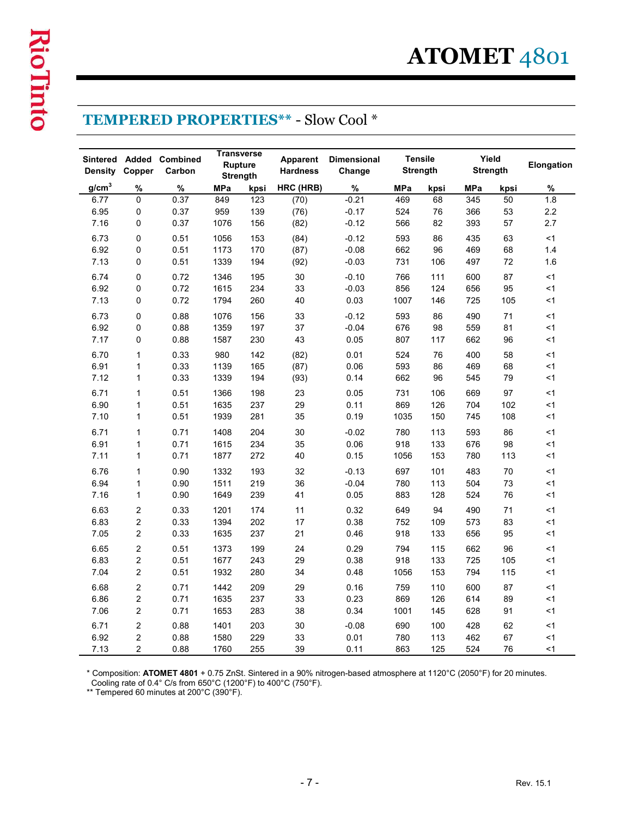|                   |                                  |                    |                                                        |            |                             | <b>TEMPERED PROPERTIES** - Slow Cool *</b> |             |                                   |            |                 |                   |
|-------------------|----------------------------------|--------------------|--------------------------------------------------------|------------|-----------------------------|--------------------------------------------|-------------|-----------------------------------|------------|-----------------|-------------------|
| <b>Density</b>    | Sintered Added<br>Copper         | Combined<br>Carbon | <b>Transverse</b><br><b>Rupture</b><br><b>Strength</b> |            | Apparent<br><b>Hardness</b> | <b>Dimensional</b><br>Change               |             | <b>Tensile</b><br><b>Strength</b> | Yield      | <b>Strength</b> | Elongation        |
| g/cm <sup>3</sup> | %                                | %                  | <b>MPa</b>                                             | kpsi       | HRC (HRB)                   | %                                          | <b>MPa</b>  | kpsi                              | <b>MPa</b> | kpsi            | %                 |
| 6.77<br>6.95      | 0<br>0                           | 0.37<br>0.37       | 849<br>959                                             | 123<br>139 | (70)<br>(76)                | $-0.21$<br>$-0.17$                         | 469<br>524  | 68<br>76                          | 345<br>366 | 50<br>53        | 1.8<br>2.2        |
| 7.16              | 0                                | 0.37               | 1076                                                   | 156        | (82)                        | $-0.12$                                    | 566         | 82                                | 393        | 57              | 2.7               |
| 6.73              | 0                                | 0.51               | 1056                                                   | 153        | (84)                        | $-0.12$                                    | 593         | 86                                | 435        | 63              | $<$ 1             |
| 6.92<br>7.13      | 0<br>0                           | 0.51               | 1173                                                   | 170        | (87)                        | $-0.08$                                    | 662<br>731  | 96<br>106                         | 469<br>497 | 68<br>72        | 1.4               |
| 6.74              | 0                                | 0.51<br>0.72       | 1339<br>1346                                           | 194<br>195 | (92)<br>30                  | $-0.03$<br>$-0.10$                         | 766         | 111                               | 600        | 87              | 1.6<br><1         |
| 6.92              | $\Omega$                         | 0.72               | 1615                                                   | 234        | 33                          | $-0.03$                                    | 856         | 124                               | 656        | 95              | <1                |
| 7.13              | $\Omega$                         | 0.72               | 1794                                                   | 260        | 40                          | 0.03                                       | 1007        | 146                               | 725        | 105             | $<$ 1             |
| 6.73              | 0                                | 0.88               | 1076                                                   | 156        | 33                          | $-0.12$                                    | 593         | 86                                | 490        | 71              | $<$ 1             |
| 6.92<br>7.17      | 0<br>0                           | 0.88<br>0.88       | 1359<br>1587                                           | 197<br>230 | 37<br>43                    | $-0.04$<br>0.05                            | 676<br>807  | 98<br>117                         | 559<br>662 | 81<br>96        | $<$ 1<br>$<$ 1    |
| 6.70              | $\mathbf{1}$                     | 0.33               | 980                                                    | 142        | (82)                        | 0.01                                       | 524         | 76                                | 400        | 58              | $<$ 1             |
| 6.91              | $\mathbf{1}$                     | 0.33               | 1139                                                   | 165        | (87)                        | 0.06                                       | 593         | 86                                | 469        | 68              | < 1               |
| 7.12              | $\mathbf{1}$                     | 0.33               | 1339                                                   | 194        | (93)                        | 0.14                                       | 662         | 96                                | 545        | 79              | $<$ 1             |
| 6.71              | $\mathbf{1}$                     | 0.51               | 1366                                                   | 198        | 23                          | 0.05                                       | 731         | 106                               | 669        | 97              | $<$ 1             |
| 6.90<br>7.10      | $\mathbf{1}$<br>$\mathbf{1}$     | 0.51<br>0.51       | 1635<br>1939                                           | 237<br>281 | 29<br>35                    | 0.11<br>0.19                               | 869<br>1035 | 126<br>150                        | 704<br>745 | 102<br>108      | $<$ 1<br>$\leq$ 1 |
| 6.71              | $\mathbf{1}$                     |                    |                                                        | 204        | 30                          | $-0.02$                                    | 780         | 113                               | 593        | 86              | $<$ 1             |
| 6.91              | $\mathbf{1}$                     | 0.71<br>0.71       | 1408<br>1615                                           | 234        | 35                          | 0.06                                       | 918         | 133                               | 676        | 98              | $\leq$ 1          |
| 7.11              | $\mathbf{1}$                     | 0.71               | 1877                                                   | 272        | 40                          | 0.15                                       | 1056        | 153                               | 780        | 113             | $<$ 1             |
| 6.76              | $\mathbf{1}$                     | 0.90               | 1332                                                   | 193        | 32                          | $-0.13$                                    | 697         | 101                               | 483        | 70              | $<$ 1             |
| 6.94              | $\mathbf{1}$                     | 0.90               | 1511                                                   | 219        | 36                          | $-0.04$                                    | 780         | 113                               | 504        | 73              | $\leq$ 1          |
| 7.16              | $\mathbf{1}$                     | 0.90               | 1649                                                   | 239        | 41                          | 0.05                                       | 883         | 128                               | 524        | 76              | $<$ 1             |
| 6.63<br>6.83      | $\overline{c}$<br>$\overline{c}$ | 0.33<br>0.33       | 1201<br>1394                                           | 174<br>202 | 11<br>17                    | 0.32<br>0.38                               | 649<br>752  | 94<br>109                         | 490<br>573 | 71<br>83        | $<$ 1<br>$\leq$ 1 |
| 7.05              | $\overline{2}$                   | 0.33               | 1635                                                   | 237        | 21                          | 0.46                                       | 918         | 133                               | 656        | 95              | $<$ 1             |
| 6.65              | $\overline{2}$                   | 0.51               | 1373                                                   | 199        | 24                          | 0.29                                       | 794         | 115                               | 662        | 96              | $<$ 1             |
| 6.83              | $\overline{c}$                   | 0.51               | 1677                                                   | 243        | 29                          | 0.38                                       | 918         | 133                               | 725        | 105             | $\leq$ 1          |
| 7.04              | $\overline{2}$                   | 0.51               | 1932                                                   | 280        | 34                          | 0.48                                       | 1056        | 153                               | 794        | 115             | $<$ 1             |
| 6.68              | $\overline{2}$                   | 0.71               | 1442                                                   | 209        | 29                          | 0.16                                       | 759         | 110                               | 600        | 87              | $<$ 1             |
| 6.86<br>7.06      | $\overline{2}$<br>$\overline{2}$ | 0.71<br>0.71       | 1635<br>1653                                           | 237<br>283 | 33<br>38                    | 0.23<br>0.34                               | 869<br>1001 | 126<br>145                        | 614<br>628 | 89<br>91        | $<$ 1<br>$<$ 1    |
| 6.71              | $\overline{\mathbf{c}}$          | 0.88               | 1401                                                   | 203        | 30                          | $-0.08$                                    | 690         | 100                               | 428        | 62              | $<$ 1             |
| 6.92              | $\overline{c}$                   | 0.88               | 1580                                                   | 229        | 33                          | 0.01                                       | 780         | 113                               | 462        | 67              | $<$ 1             |
| 7.13              | $\overline{2}$                   | 0.88               | 1760                                                   | 255        | 39                          | 0.11                                       | 863         | 125                               | 524        | 76              | $<$ 1             |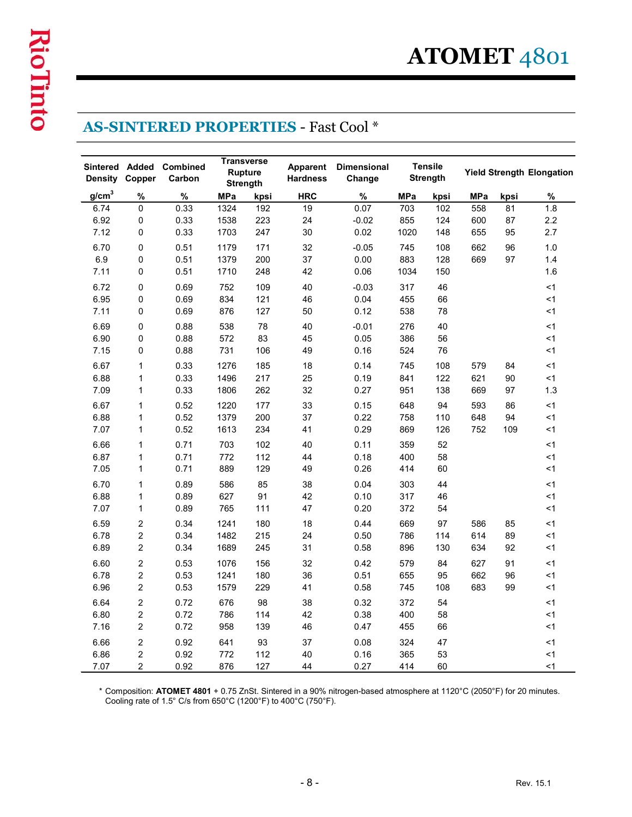| <b>AS-SINTERED PROPERTIES - Fast Cool *</b> |                                  |                                   |              |                                     |                             |                              |            |                            |            |          |                                  |  |  |
|---------------------------------------------|----------------------------------|-----------------------------------|--------------|-------------------------------------|-----------------------------|------------------------------|------------|----------------------------|------------|----------|----------------------------------|--|--|
| <b>Density</b>                              | Copper                           | Sintered Added Combined<br>Carbon |              | <b>Transverse</b><br><b>Rupture</b> | Apparent<br><b>Hardness</b> | <b>Dimensional</b><br>Change |            | <b>Tensile</b><br>Strength |            |          | <b>Yield Strength Elongation</b> |  |  |
| g/cm <sup>3</sup>                           | %                                | %                                 | <b>MPa</b>   | Strength<br>kpsi                    | <b>HRC</b>                  | $\%$                         | <b>MPa</b> | kpsi                       | <b>MPa</b> | kpsi     | $\%$                             |  |  |
| 6.74                                        | $\mathbf 0$                      | 0.33                              | 1324         | 192                                 | 19                          | 0.07                         | 703        | 102                        | 558        | 81       | 1.8                              |  |  |
| 6.92                                        | $\mathbf 0$                      | 0.33                              | 1538         | 223                                 | 24                          | $-0.02$                      | 855        | 124                        | 600        | 87       | 2.2                              |  |  |
| 7.12                                        | $\mathbf 0$                      | 0.33                              | 1703         | 247                                 | 30                          | 0.02                         | 1020       | 148                        | 655        | 95       | 2.7                              |  |  |
| 6.70                                        | 0                                | 0.51                              | 1179         | 171                                 | 32                          | $-0.05$                      | 745        | 108                        | 662        | 96       | 1.0                              |  |  |
| 6.9<br>7.11                                 | $\mathbf 0$                      | 0.51                              | 1379         | 200                                 | 37                          | 0.00                         | 883        | 128                        | 669        | 97       | 1.4                              |  |  |
|                                             | $\mathbf 0$                      | 0.51                              | 1710         | 248                                 | 42                          | 0.06                         | 1034       | 150                        |            |          | 1.6                              |  |  |
| 6.72<br>6.95                                | $\mathbf 0$<br>$\mathbf 0$       | 0.69<br>0.69                      | 752<br>834   | 109<br>121                          | 40<br>46                    | $-0.03$<br>0.04              | 317<br>455 | 46<br>66                   |            |          | $<$ 1<br>$<$ 1                   |  |  |
| 7.11                                        | $\Omega$                         | 0.69                              | 876          | 127                                 | 50                          | 0.12                         | 538        | 78                         |            |          | <1                               |  |  |
| 6.69                                        | 0                                | 0.88                              | 538          | 78                                  | 40                          | $-0.01$                      | 276        | 40                         |            |          | $<$ 1                            |  |  |
| 6.90                                        | $\pmb{0}$                        | 0.88                              | 572          | 83                                  | 45                          | 0.05                         | 386        | 56                         |            |          | < 1                              |  |  |
| 7.15                                        | $\pmb{0}$                        | 0.88                              | 731          | 106                                 | 49                          | 0.16                         | 524        | 76                         |            |          | < 1                              |  |  |
| 6.67                                        | $\mathbf{1}$                     | 0.33                              | 1276         | 185                                 | 18                          | 0.14                         | 745        | 108                        | 579        | 84       | $<$ 1                            |  |  |
| 6.88                                        | $\mathbf{1}$                     | 0.33                              | 1496         | 217                                 | 25                          | 0.19                         | 841        | 122                        | 621        | 90       | < 1                              |  |  |
| 7.09                                        | $\mathbf{1}$                     | 0.33                              | 1806         | 262                                 | 32                          | 0.27                         | 951        | 138                        | 669        | 97       | 1.3                              |  |  |
| 6.67                                        | $\mathbf{1}$                     | 0.52<br>0.52                      | 1220         | 177                                 | 33<br>37                    | 0.15                         | 648        | 94<br>110                  | 593        | 86<br>94 | $<$ 1                            |  |  |
| 6.88<br>7.07                                | $\mathbf{1}$<br>$\mathbf{1}$     | 0.52                              | 1379<br>1613 | 200<br>234                          | 41                          | 0.22<br>0.29                 | 758<br>869 | 126                        | 648<br>752 | 109      | < 1<br>$<$ 1                     |  |  |
| 6.66                                        | $\mathbf{1}$                     | 0.71                              | 703          | 102                                 | 40                          | 0.11                         | 359        | 52                         |            |          | <1                               |  |  |
| 6.87                                        | $\mathbf{1}$                     | 0.71                              | 772          | 112                                 | 44                          | 0.18                         | 400        | 58                         |            |          | $<$ 1                            |  |  |
| 7.05                                        | $\mathbf{1}$                     | 0.71                              | 889          | 129                                 | 49                          | 0.26                         | 414        | 60                         |            |          | $<$ 1                            |  |  |
| 6.70                                        | $\mathbf{1}$                     | 0.89                              | 586          | 85                                  | 38                          | 0.04                         | 303        | 44                         |            |          | < 1                              |  |  |
| 6.88                                        | $\mathbf{1}$                     | 0.89                              | 627          | 91                                  | 42                          | 0.10                         | 317        | 46                         |            |          | $<$ 1                            |  |  |
| 7.07                                        | $\mathbf{1}$                     | 0.89                              | 765          | 111                                 | 47                          | 0.20                         | 372        | 54                         |            |          | $<$ 1                            |  |  |
| 6.59                                        | $\overline{\mathbf{c}}$          | 0.34                              | 1241         | 180                                 | 18                          | 0.44                         | 669        | 97                         | 586        | 85       | <1                               |  |  |
| 6.78<br>6.89                                | $\overline{c}$<br>$\overline{c}$ | 0.34<br>0.34                      | 1482<br>1689 | 215<br>245                          | 24<br>31                    | 0.50<br>0.58                 | 786<br>896 | 114<br>130                 | 614<br>634 | 89<br>92 | < 1<br>< 1                       |  |  |
|                                             |                                  |                                   |              |                                     |                             |                              |            |                            |            |          |                                  |  |  |
| 6.60<br>6.78                                | $\overline{c}$<br>$\overline{c}$ | 0.53<br>0.53                      | 1076<br>1241 | 156<br>180                          | 32<br>36                    | 0.42<br>0.51                 | 579<br>655 | 84<br>95                   | 627<br>662 | 91<br>96 | $<$ 1<br>$<$ 1                   |  |  |
| 6.96                                        | $\overline{c}$                   | 0.53                              | 1579         | 229                                 | 41                          | 0.58                         | 745        | 108                        | 683        | 99       | <1                               |  |  |
| 6.64                                        | $\overline{c}$                   | 0.72                              | 676          | 98                                  | 38                          | 0.32                         | 372        | 54                         |            |          | <1                               |  |  |
| 6.80                                        | $\overline{2}$                   | 0.72                              | 786          | 114                                 | 42                          | 0.38                         | 400        | 58                         |            |          | < 1                              |  |  |
| 7.16                                        | $\overline{c}$                   | 0.72                              | 958          | 139                                 | 46                          | 0.47                         | 455        | 66                         |            |          | $<$ 1                            |  |  |
| 6.66                                        | $\overline{2}$                   | 0.92                              | 641          | 93                                  | 37                          | 0.08                         | 324        | 47                         |            |          | < 1                              |  |  |
| 6.86                                        | $\overline{c}$                   | 0.92                              | 772          | 112                                 | 40                          | 0.16                         | 365        | 53                         |            |          | < 1                              |  |  |
| 7.07                                        | $\overline{c}$                   | 0.92                              | 876          | 127                                 | 44                          | 0.27                         | 414        | 60                         |            |          | <1                               |  |  |